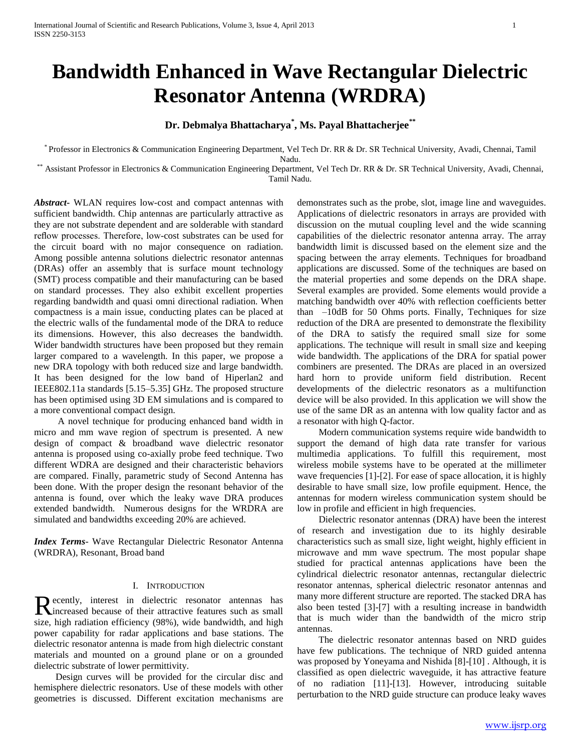# **Bandwidth Enhanced in Wave Rectangular Dielectric Resonator Antenna (WRDRA)**

# **Dr. Debmalya Bhattacharya\* , Ms. Payal Bhattacherjee\*\***

\* Professor in Electronics & Communication Engineering Department, Vel Tech Dr. RR & Dr. SR Technical University, Avadi, Chennai, Tamil Nadu.

\*\* Assistant Professor in Electronics & Communication Engineering Department, Vel Tech Dr. RR & Dr. SR Technical University, Avadi, Chennai, Tamil Nadu.

*Abstract***-** WLAN requires low-cost and compact antennas with sufficient bandwidth. Chip antennas are particularly attractive as they are not substrate dependent and are solderable with standard reflow processes. Therefore, low-cost substrates can be used for the circuit board with no major consequence on radiation. Among possible antenna solutions dielectric resonator antennas (DRAs) offer an assembly that is surface mount technology (SMT) process compatible and their manufacturing can be based on standard processes. They also exhibit excellent properties regarding bandwidth and quasi omni directional radiation. When compactness is a main issue, conducting plates can be placed at the electric walls of the fundamental mode of the DRA to reduce its dimensions. However, this also decreases the bandwidth. Wider bandwidth structures have been proposed but they remain larger compared to a wavelength. In this paper, we propose a new DRA topology with both reduced size and large bandwidth. It has been designed for the low band of Hiperlan2 and IEEE802.11a standards [5.15–5.35] GHz. The proposed structure has been optimised using 3D EM simulations and is compared to a more conventional compact design.

 A novel technique for producing enhanced band width in micro and mm wave region of spectrum is presented. A new design of compact & broadband wave dielectric resonator antenna is proposed using co-axially probe feed technique. Two different WDRA are designed and their characteristic behaviors are compared. Finally, parametric study of Second Antenna has been done. With the proper design the resonant behavior of the antenna is found, over which the leaky wave DRA produces extended bandwidth. Numerous designs for the WRDRA are simulated and bandwidths exceeding 20% are achieved.

*Index Terms*- Wave Rectangular Dielectric Resonator Antenna (WRDRA), Resonant, Broad band

# I. INTRODUCTION

ecently, interest in dielectric resonator antennas has Recently, interest in dielectric resonator antennas has small increased because of their attractive features such as small size, high radiation efficiency (98%), wide bandwidth, and high power capability for radar applications and base stations. The dielectric resonator antenna is made from high dielectric constant materials and mounted on a ground plane or on a grounded dielectric substrate of lower permittivity.

 Design curves will be provided for the circular disc and hemisphere dielectric resonators. Use of these models with other geometries is discussed. Different excitation mechanisms are demonstrates such as the probe, slot, image line and waveguides. Applications of dielectric resonators in arrays are provided with discussion on the mutual coupling level and the wide scanning capabilities of the dielectric resonator antenna array. The array bandwidth limit is discussed based on the element size and the spacing between the array elements. Techniques for broadband applications are discussed. Some of the techniques are based on the material properties and some depends on the DRA shape. Several examples are provided. Some elements would provide a matching bandwidth over 40% with reflection coefficients better than –10dB for 50 Ohms ports. Finally, Techniques for size reduction of the DRA are presented to demonstrate the flexibility of the DRA to satisfy the required small size for some applications. The technique will result in small size and keeping wide bandwidth. The applications of the DRA for spatial power combiners are presented. The DRAs are placed in an oversized hard horn to provide uniform field distribution. Recent developments of the dielectric resonators as a multifunction device will be also provided. In this application we will show the use of the same DR as an antenna with low quality factor and as a resonator with high Q-factor.

 Modern communication systems require wide bandwidth to support the demand of high data rate transfer for various multimedia applications. To fulfill this requirement, most wireless mobile systems have to be operated at the millimeter wave frequencies [1]-[2]. For ease of space allocation, it is highly desirable to have small size, low profile equipment. Hence, the antennas for modern wireless communication system should be low in profile and efficient in high frequencies.

 Dielectric resonator antennas (DRA) have been the interest of research and investigation due to its highly desirable characteristics such as small size, light weight, highly efficient in microwave and mm wave spectrum. The most popular shape studied for practical antennas applications have been the cylindrical dielectric resonator antennas, rectangular dielectric resonator antennas, spherical dielectric resonator antennas and many more different structure are reported. The stacked DRA has also been tested [3]-[7] with a resulting increase in bandwidth that is much wider than the bandwidth of the micro strip antennas.

 The dielectric resonator antennas based on NRD guides have few publications. The technique of NRD guided antenna was proposed by Yoneyama and Nishida [8]-[10] . Although, it is classified as open dielectric waveguide, it has attractive feature of no radiation [11]-[13]. However, introducing suitable perturbation to the NRD guide structure can produce leaky waves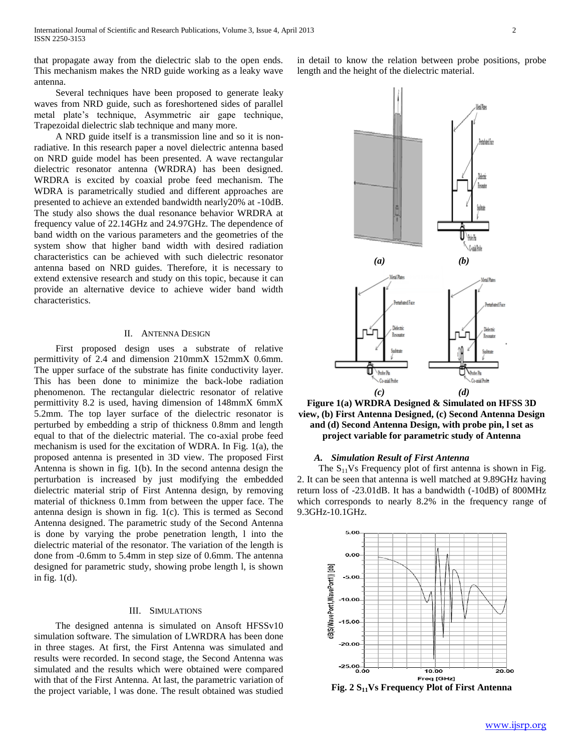that propagate away from the dielectric slab to the open ends. This mechanism makes the NRD guide working as a leaky wave antenna.

 Several techniques have been proposed to generate leaky waves from NRD guide, such as foreshortened sides of parallel metal plate's technique, Asymmetric air gape technique, Trapezoidal dielectric slab technique and many more.

 A NRD guide itself is a transmission line and so it is nonradiative. In this research paper a novel dielectric antenna based on NRD guide model has been presented. A wave rectangular dielectric resonator antenna (WRDRA) has been designed. WRDRA is excited by coaxial probe feed mechanism. The WDRA is parametrically studied and different approaches are presented to achieve an extended bandwidth nearly20% at -10dB. The study also shows the dual resonance behavior WRDRA at frequency value of 22.14GHz and 24.97GHz. The dependence of band width on the various parameters and the geometries of the system show that higher band width with desired radiation characteristics can be achieved with such dielectric resonator antenna based on NRD guides. Therefore, it is necessary to extend extensive research and study on this topic, because it can provide an alternative device to achieve wider band width characteristics.

## II. ANTENNA DESIGN

 First proposed design uses a substrate of relative permittivity of 2.4 and dimension 210mmX 152mmX 0.6mm. The upper surface of the substrate has finite conductivity layer. This has been done to minimize the back-lobe radiation phenomenon. The rectangular dielectric resonator of relative permittivity 8.2 is used, having dimension of 148mmX 6mmX 5.2mm. The top layer surface of the dielectric resonator is perturbed by embedding a strip of thickness 0.8mm and length equal to that of the dielectric material. The co-axial probe feed mechanism is used for the excitation of WDRA. In Fig. 1(a), the proposed antenna is presented in 3D view. The proposed First Antenna is shown in fig. 1(b). In the second antenna design the perturbation is increased by just modifying the embedded dielectric material strip of First Antenna design, by removing material of thickness 0.1mm from between the upper face. The antenna design is shown in fig. 1(c). This is termed as Second Antenna designed. The parametric study of the Second Antenna is done by varying the probe penetration length, l into the dielectric material of the resonator. The variation of the length is done from -0.6mm to 5.4mm in step size of 0.6mm. The antenna designed for parametric study, showing probe length l, is shown in fig. 1(d).

## III. SIMULATIONS

 The designed antenna is simulated on Ansoft HFSSv10 simulation software. The simulation of LWRDRA has been done in three stages. At first, the First Antenna was simulated and results were recorded. In second stage, the Second Antenna was simulated and the results which were obtained were compared with that of the First Antenna. At last, the parametric variation of the project variable, l was done. The result obtained was studied in detail to know the relation between probe positions, probe length and the height of the dielectric material.

*(c) (d)* **Figure 1(a) WRDRA Designed & Simulated on HFSS 3D view, (b) First Antenna Designed, (c) Second Antenna Design and (d) Second Antenna Design, with probe pin, l set as project variable for parametric study of Antenna**

*(a) (b)*

معالا لمعا

should Fax

**Book \Guilhi** 

Maral Disea

Co-anial Prob

weakatal Esco

# *A. Simulation Result of First Antenna*

Π Probe Pe Co-mid Prob

The  $S_{11}Vs$  Frequency plot of first antenna is shown in Fig. 2. It can be seen that antenna is well matched at 9.89GHz having return loss of -23.01dB. It has a bandwidth (-10dB) of 800MHz which corresponds to nearly 8.2% in the frequency range of 9.3GHz-10.1GHz.



**Fig. 2 S11Vs Frequency Plot of First Antenna**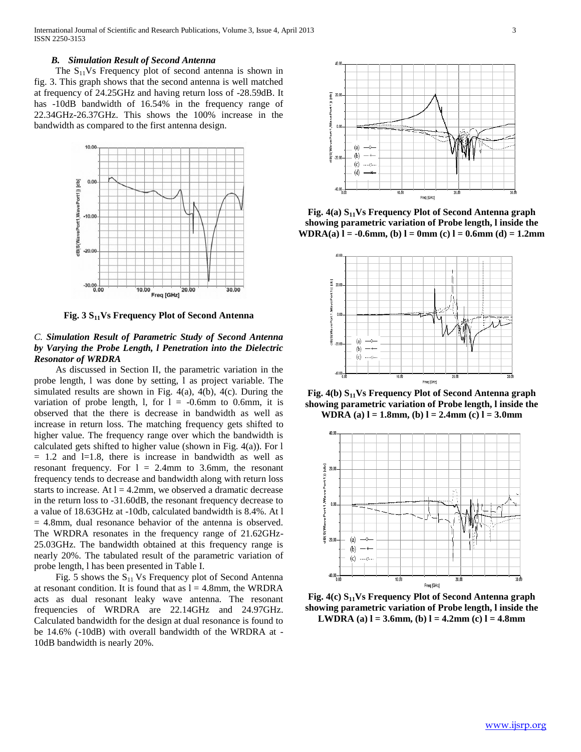#### *B. Simulation Result of Second Antenna*

The  $S_{11}Vs$  Frequency plot of second antenna is shown in fig. 3. This graph shows that the second antenna is well matched at frequency of 24.25GHz and having return loss of -28.59dB. It has -10dB bandwidth of 16.54% in the frequency range of 22.34GHz-26.37GHz. This shows the 100% increase in the bandwidth as compared to the first antenna design.



**Fig. 3 S11Vs Frequency Plot of Second Antenna**

# *C. Simulation Result of Parametric Study of Second Antenna by Varying the Probe Length, l Penetration into the Dielectric Resonator of WRDRA*

 As discussed in Section II, the parametric variation in the probe length, l was done by setting, l as project variable. The simulated results are shown in Fig. 4(a), 4(b), 4(c). During the variation of probe length, 1, for  $l = -0.6$ mm to 0.6mm, it is observed that the there is decrease in bandwidth as well as increase in return loss. The matching frequency gets shifted to higher value. The frequency range over which the bandwidth is calculated gets shifted to higher value (shown in Fig. 4(a)). For l  $= 1.2$  and  $l=1.8$ , there is increase in bandwidth as well as resonant frequency. For  $l = 2.4$ mm to 3.6mm, the resonant frequency tends to decrease and bandwidth along with return loss starts to increase. At  $l = 4.2$ mm, we observed a dramatic decrease in the return loss to -31.60dB, the resonant frequency decrease to a value of 18.63GHz at -10db, calculated bandwidth is 8.4%. At l = 4.8mm, dual resonance behavior of the antenna is observed. The WRDRA resonates in the frequency range of 21.62GHz-25.03GHz. The bandwidth obtained at this frequency range is nearly 20%. The tabulated result of the parametric variation of probe length, l has been presented in Table I.

Fig. 5 shows the  $S_{11}$  Vs Frequency plot of Second Antenna at resonant condition. It is found that as  $l = 4.8$ mm, the WRDRA acts as dual resonant leaky wave antenna. The resonant frequencies of WRDRA are 22.14GHz and 24.97GHz. Calculated bandwidth for the design at dual resonance is found to be 14.6% (-10dB) with overall bandwidth of the WRDRA at - 10dB bandwidth is nearly 20%.



**Fig. 4(a) S11Vs Frequency Plot of Second Antenna graph showing parametric variation of Probe length, l inside the WDRA(a) l = -0.6mm, (b) l = 0mm (c) l = 0.6mm (d) = 1.2mm** 



**Fig. 4(b) S11Vs Frequency Plot of Second Antenna graph showing parametric variation of Probe length, l inside the WDRA** (a)  $l = 1.8$ mm, (b)  $l = 2.4$ mm (c)  $l = 3.0$ mm



**Fig. 4(c) S11Vs Frequency Plot of Second Antenna graph showing parametric variation of Probe length, l inside the LWDRA** (a)  $l = 3.6$ mm, (b)  $l = 4.2$ mm (c)  $l = 4.8$ mm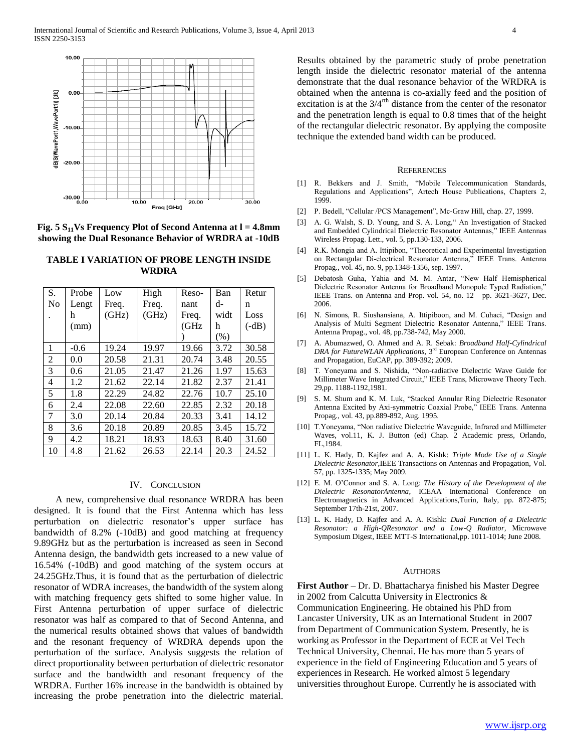

**Fig. 5 S11Vs Frequency Plot of Second Antenna at l = 4.8mm showing the Dual Resonance Behavior of WRDRA at -10dB**

| TABLE I VARIATION OF PROBE LENGTH INSIDE |
|------------------------------------------|
| <b>WRDRA</b>                             |

| S.             | Probe  | Low   | High  | Reso- | Ban  | Retur   |
|----------------|--------|-------|-------|-------|------|---------|
| No             | Lengt  | Freq. | Freq. | nant  | d-   | n       |
|                | h      | (GHz) | (GHz) | Freq. | widt | Loss    |
|                | (mm)   |       |       | (GHz  | h    | $(-dB)$ |
|                |        |       |       |       | (% ) |         |
| 1              | $-0.6$ | 19.24 | 19.97 | 19.66 | 3.72 | 30.58   |
| $\overline{2}$ | 0.0    | 20.58 | 21.31 | 20.74 | 3.48 | 20.55   |
| 3              | 0.6    | 21.05 | 21.47 | 21.26 | 1.97 | 15.63   |
| 4              | 1.2    | 21.62 | 22.14 | 21.82 | 2.37 | 21.41   |
| 5              | 1.8    | 22.29 | 24.82 | 22.76 | 10.7 | 25.10   |
| 6              | 2.4    | 22.08 | 22.60 | 22.85 | 2.32 | 20.18   |
| 7              | 3.0    | 20.14 | 20.84 | 20.33 | 3.41 | 14.12   |
| 8              | 3.6    | 20.18 | 20.89 | 20.85 | 3.45 | 15.72   |
| 9              | 4.2    | 18.21 | 18.93 | 18.63 | 8.40 | 31.60   |
| 10             | 4.8    | 21.62 | 26.53 | 22.14 | 20.3 | 24.52   |

#### IV. CONCLUSION

 A new, comprehensive dual resonance WRDRA has been designed. It is found that the First Antenna which has less perturbation on dielectric resonator's upper surface has bandwidth of 8.2% (-10dB) and good matching at frequency 9.89GHz but as the perturbation is increased as seen in Second Antenna design, the bandwidth gets increased to a new value of 16.54% (-10dB) and good matching of the system occurs at 24.25GHz.Thus, it is found that as the perturbation of dielectric resonator of WDRA increases, the bandwidth of the system along with matching frequency gets shifted to some higher value. In First Antenna perturbation of upper surface of dielectric resonator was half as compared to that of Second Antenna, and the numerical results obtained shows that values of bandwidth and the resonant frequency of WRDRA depends upon the perturbation of the surface. Analysis suggests the relation of direct proportionality between perturbation of dielectric resonator surface and the bandwidth and resonant frequency of the WRDRA. Further 16% increase in the bandwidth is obtained by increasing the probe penetration into the dielectric material.

Results obtained by the parametric study of probe penetration length inside the dielectric resonator material of the antenna demonstrate that the dual resonance behavior of the WRDRA is obtained when the antenna is co-axially feed and the position of excitation is at the  $3/4$ <sup>rth</sup> distance from the center of the resonator and the penetration length is equal to 0.8 times that of the height of the rectangular dielectric resonator. By applying the composite technique the extended band width can be produced.

#### **REFERENCES**

- [1] R. Bekkers and J. Smith, "Mobile Telecommunication Standards, Regulations and Applications", Artech House Publications, Chapters 2, 1999.
- [2] P. Bedell, "Cellular /PCS Management", Mc-Graw Hill, chap. 27, 1999.
- [3] A. G. Walsh, S. D. Young, and S. A. Long," An Investigation of Stacked and Embedded Cylindrical Dielectric Resonator Antennas," IEEE Antennas Wireless Propag. Lett., vol. 5, pp.130-133, 2006.
- [4] R.K. Mongia and A. Ittipibon, "Theoretical and Experimental Investigation on Rectangular Di-electrical Resonator Antenna," IEEE Trans. Antenna Propag., vol. 45, no. 9, pp.1348-1356, sep. 1997.
- [5] Debatosh Guha, Yahia and M. M. Antar, "New Half Hemispherical Dielectric Resonator Antenna for Broadband Monopole Typed Radiation," IEEE Trans. on Antenna and Prop. vol. 54, no. 12 pp. 3621-3627, Dec. 2006.
- [6] N. Simons, R. Siushansiana, A. Ittipiboon, and M. Cuhaci, "Design and Analysis of Multi Segment Dielectric Resonator Antenna," IEEE Trans. Antenna Propag., vol. 48, pp.738-742, May 2000.
- [7] A. Abumazwed, O. Ahmed and A. R. Sebak: *Broadband Half-Cylindrical DRA for FutureWLAN Applications*, 3<sup>rd</sup> European Conference on Antennas and Propagation, EuCAP, pp. 389-392; 2009.
- [8] T. Yoneyama and S. Nishida, "Non-radiative Dielectric Wave Guide for Millimeter Wave Integrated Circuit," IEEE Trans, Microwave Theory Tech. 29,pp. 1188-1192,1981.
- [9] S. M. Shum and K. M. Luk, "Stacked Annular Ring Dielectric Resonator Antenna Excited by Axi-symmetric Coaxial Probe," IEEE Trans. Antenna Propag., vol. 43, pp.889-892, Aug. 1995.
- [10] T.Yoneyama, "Non radiative Dielectric Waveguide, Infrared and Millimeter Waves, vol.11, K. J. Button (ed) Chap. 2 Academic press, Orlando, FL,1984.
- [11] L. K. Hady, D. Kajfez and A. A. Kishk: *Triple Mode Use of a Single Dielectric Resonator*,IEEE Transactions on Antennas and Propagation, Vol. 57, pp. 1325-1335; May 2009.
- [12] E. M. O'Connor and S. A. Long: *The History of the Development of the Dielectric ResonatorAntenna*, ICEAA International Conference on Electromagnetics in Advanced Applications,Turin, Italy, pp. 872-875; September 17th-21st, 2007.
- [13] L. K. Hady, D. Kajfez and A. A. Kishk: *Dual Function of a Dielectric Resonator: a High-QResonator and a Low-Q Radiator,* Microwave Symposium Digest, IEEE MTT-S International,pp. 1011-1014; June 2008.

#### **AUTHORS**

**First Author** – Dr. D. Bhattacharya finished his Master Degree in 2002 from Calcutta University in Electronics & Communication Engineering. He obtained his PhD from Lancaster University, UK as an International Student in 2007 from Department of Communication System. Presently, he is working as Professor in the Department of ECE at Vel Tech Technical University, Chennai. He has more than 5 years of experience in the field of Engineering Education and 5 years of experiences in Research. He worked almost 5 legendary universities throughout Europe. Currently he is associated with